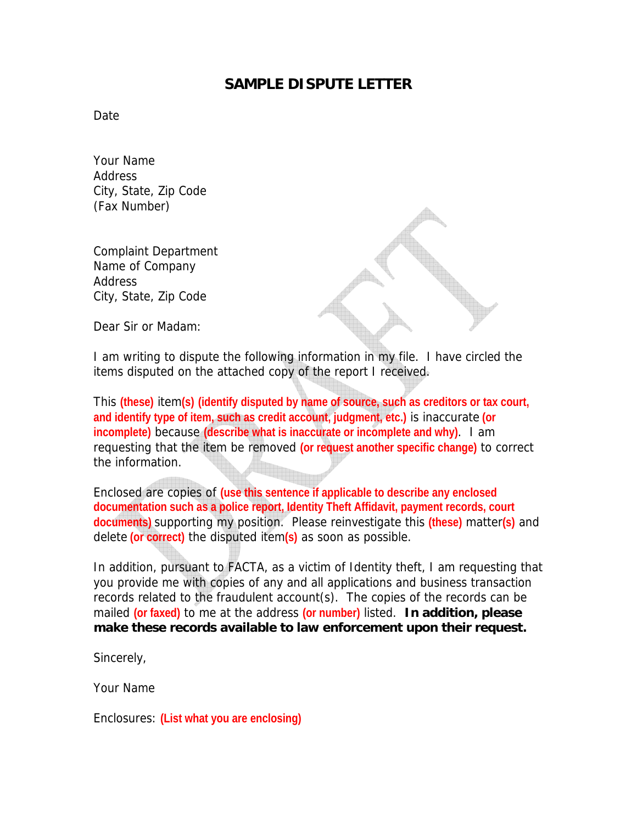## **SAMPLE DISPUTE LETTER**

**Date** 

Your Name **Address** City, State, Zip Code (Fax Number)

Complaint Department Name of Company Address City, State, Zip Code

Dear Sir or Madam:

I am writing to dispute the following information in my file. I have circled the items disputed on the attached copy of the report I received.

This **(these)** item**(s) (identify disputed by name of source, such as creditors or tax court, and identify type of item, such as credit account, judgment, etc.)** is inaccurate **(or incomplete)** because **(describe what is inaccurate or incomplete and why)**. I am requesting that the item be removed **(or request another specific change)** to correct the information.

Enclosed are copies of **(use this sentence if applicable to describe any enclosed documentation such as a police report, Identity Theft Affidavit, payment records, court documents)** supporting my position. Please reinvestigate this **(these)** matter**(s)** and delete **(or correct)** the disputed item**(s)** as soon as possible.

In addition, pursuant to FACTA, as a victim of Identity theft, I am requesting that you provide me with copies of any and all applications and business transaction records related to the fraudulent account(s). The copies of the records can be mailed **(or faxed)** to me at the address **(or number)** listed. **In addition, please make these records available to law enforcement upon their request.** 

Sincerely,

Your Name

Enclosures: **(List what you are enclosing)**